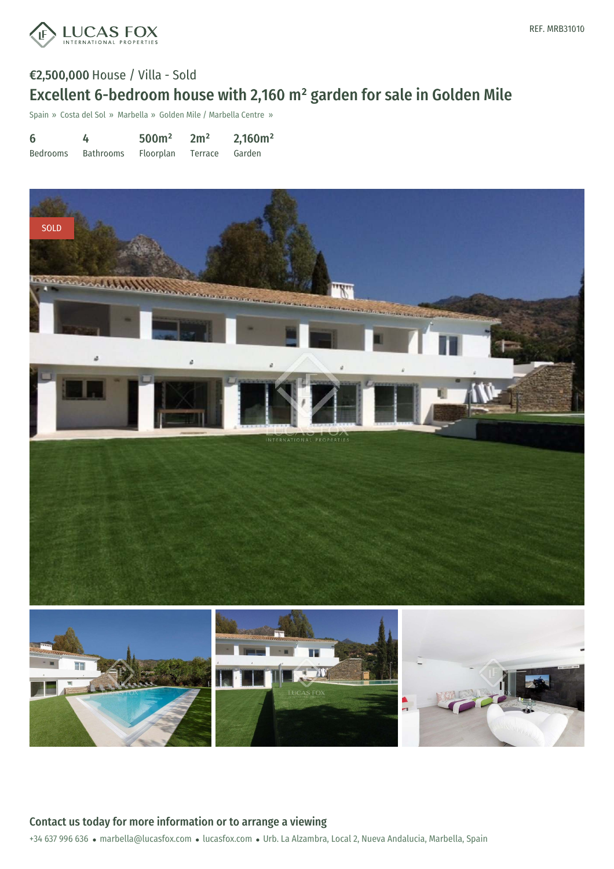

# €2,500,000 House / Villa - Sold Excellent 6-bedroom house with 2,160 m² garden for sale in Golden Mile

Spain » Costa del Sol » Marbella » Golden Mile / Marbella Centre »

| 6        | 4         | 500 <sup>m²</sup> | 2m <sup>2</sup> | 2,160m <sup>2</sup> |
|----------|-----------|-------------------|-----------------|---------------------|
| Bedrooms | Bathrooms | Floorplan         | Terrace Garden  |                     |

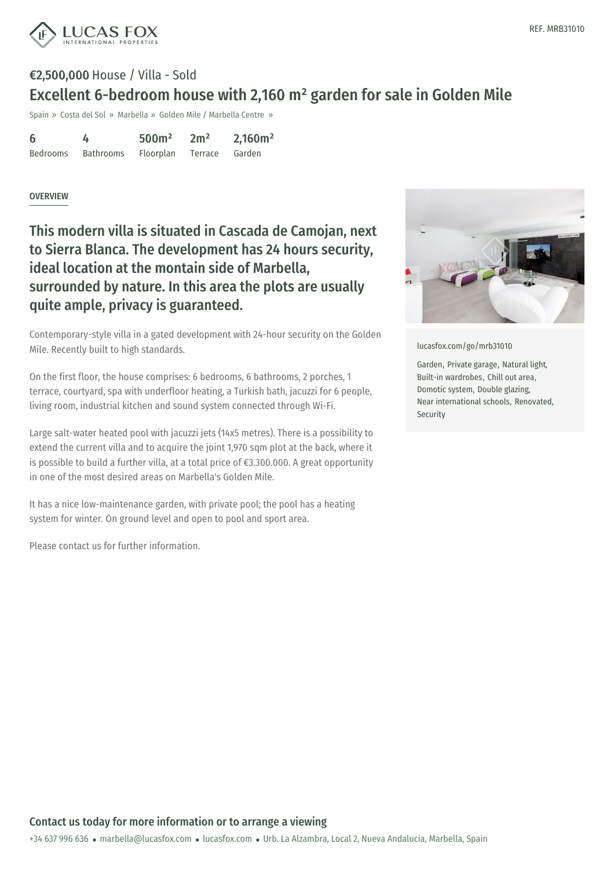

# €2,500,000 House / Villa - Sold Excellent 6-bedroom house with 2,160 m² garden for sale in Golden Mile

Spain » Costa del Sol » Marbella » Golden Mile / Marbella Centre »

| 6               |                  | 500 <sup>m²</sup> | 2m <sup>2</sup> | 2,160m <sup>2</sup> |
|-----------------|------------------|-------------------|-----------------|---------------------|
| <b>Bedrooms</b> | <b>Bathrooms</b> | Floorplan         | Terrace         | Garden              |

#### OVERVIEW

This modern villa is situated in Cascada de Camojan, next to Sierra Blanca. The development has 24 hours security, ideal location at the montain side of Marbella, surrounded by nature. In this area the plots are usually quite ample, privacy is guaranteed.

Contemporary-style villa in a gated development with 24-hour security on the Golden Mile. Recently built to high standards.

On the first floor, the house comprises: 6 bedrooms, 6 bathrooms, 2 porches, 1 terrace, courtyard, spa with underfloor heating, a Turkish bath, jacuzzi for 6 people, living room, industrial kitchen and sound system connected through Wi-Fi.

Large salt-water heated pool with jacuzzi jets (14x5 metres). There is a possibility to extend the current villa and to acquire the joint 1,970 sqm plot at the back, where it is possible to build a further villa, at a total price of €3.300.000. A great opportunity in one of the most desired areas on Marbella's Golden Mile.

It has a nice low-maintenance garden, with private pool; the pool has a heating system for winter. On ground level and open to pool and sport area.

Please contact us for further information.



[lucasfox.com/go/mrb31010](https://www.lucasfox.com/go/mrb31010)

Garden, Private garage, Natural light, Built-in wardrobes, Chill out area, Domotic system, Double glazing, Near international schools, Renovated, Security